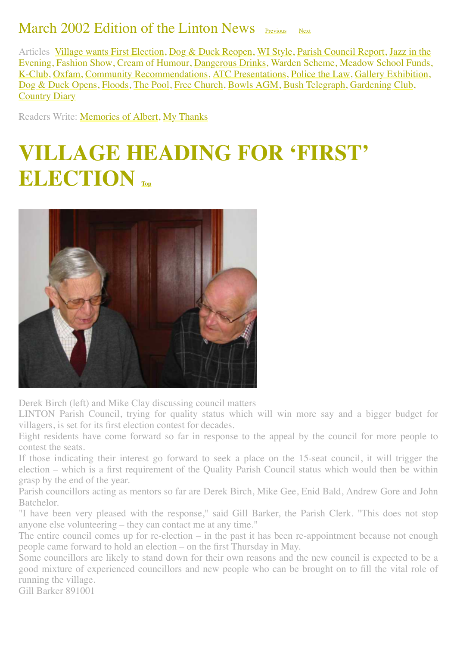#### March 2002 Edition of the Linton News  $_{\rm{Previous}}$  $_{\rm{Previous}}$  $_{\rm{Previous}}$

<span id="page-0-1"></span>Articles [Village wants First Election,](#page-0-0) [Dog & Duck Reopen,](#page-1-0) [WI Style,](#page-3-0) [Parish Council Report](#page-3-1), Jazz in the [Evening, Fashion Show, Cream of Humour, Dangerous Drinks, Warden Scheme, Meadow School Funds,](#page-3-2) [K-Club,](#page-5-2) [Oxfam,](#page-6-0) [Community Recommendations,](#page-6-1) [ATC Presentations,](#page-7-0) [Police the Law](#page-8-0), [Gallery Exhibition](#page-10-0), [Dog & Duck Opens](#page-10-1), [Floods,](#page-10-2) [The Pool,](#page-11-0) [Free Church,](http://www.linton.info/lintonnews/0203.html#SPRING%20at%20St%20Mary%E2%80%99s) [Bowls AGM,](#page-11-1) [Bush Telegraph,](#page-12-0) [Gardening Club](#page-12-1), [Country Diary](#page-13-0)

Readers Write: [Memories of Albert,](#page-6-2) [My Thanks](#page-6-3)

### <span id="page-0-0"></span>**VILLAGE HEADING FOR 'FIRST' ELECTION**



Derek Birch (left) and Mike Clay discussing council matters

LINTON Parish Council, trying for quality status which will win more say and a bigger budget for villagers, is set for its first election contest for decades.

Eight residents have come forward so far in response to the appeal by the council for more people to contest the seats.

If those indicating their interest go forward to seek a place on the 15-seat council, it will trigger the election – which is a first requirement of the Quality Parish Council status which would then be within grasp by the end of the year.

Parish councillors acting as mentors so far are Derek Birch, Mike Gee, Enid Bald, Andrew Gore and John Batchelor.

"I have been very pleased with the response," said Gill Barker, the Parish Clerk. "This does not stop anyone else volunteering – they can contact me at any time."

The entire council comes up for re-election – in the past it has been re-appointment because not enough people came forward to hold an election – on the first Thursday in May.

Some councillors are likely to stand down for their own reasons and the new council is expected to be a good mixture of experienced councillors and new people who can be brought on to fill the vital role of running the village.

Gill Barker 891001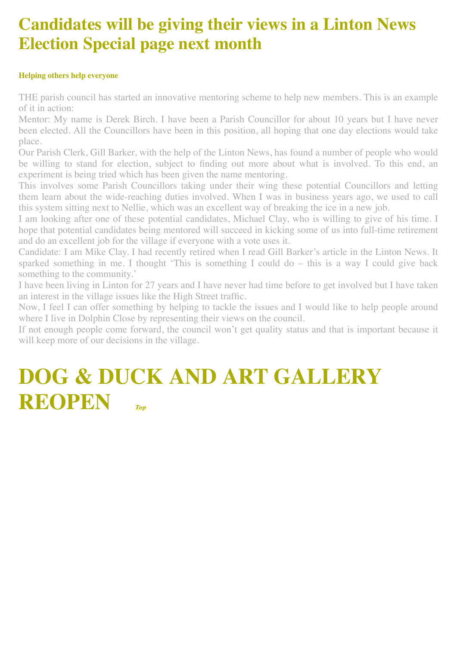#### **Candidates will be giving their views in a Linton News Election Special page next month**

#### **Helping others help everyone**

THE parish council has started an innovative mentoring scheme to help new members. This is an example of it in action:

Mentor: My name is Derek Birch. I have been a Parish Councillor for about 10 years but I have never been elected. All the Councillors have been in this position, all hoping that one day elections would take place.

Our Parish Clerk, Gill Barker, with the help of the Linton News, has found a number of people who would be willing to stand for election, subject to finding out more about what is involved. To this end, an experiment is being tried which has been given the name mentoring.

This involves some Parish Councillors taking under their wing these potential Councillors and letting them learn about the wide-reaching duties involved. When I was in business years ago, we used to call this system sitting next to Nellie, which was an excellent way of breaking the ice in a new job.

I am looking after one of these potential candidates, Michael Clay, who is willing to give of his time. I hope that potential candidates being mentored will succeed in kicking some of us into full-time retirement and do an excellent job for the village if everyone with a vote uses it.

Candidate: I am Mike Clay. I had recently retired when I read Gill Barker's article in the Linton News. It sparked something in me. I thought 'This is something I could do – this is a way I could give back something to the community.'

I have been living in Linton for 27 years and I have never had time before to get involved but I have taken an interest in the village issues like the High Street traffic.

Now, I feel I can offer something by helping to tackle the issues and I would like to help people around where I live in Dolphin Close by representing their views on the council.

If not enough people come forward, the council won't get quality status and that is important because it will keep more of our decisions in the village.

### <span id="page-1-0"></span>**DOG & DUCK AND ART GALLERY REOPEN** *[Top](#page-0-1) Top*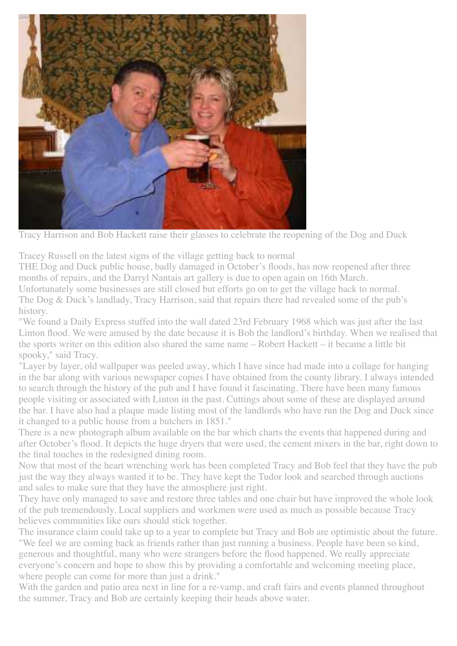

Tracy Harrison and Bob Hackett raise their glasses to celebrate the reopening of the Dog and Duck

Tracey Russell on the latest signs of the village getting back to normal

THE Dog and Duck public house, badly damaged in October's floods, has now reopened after three months of repairs, and the Darryl Nantais art gallery is due to open again on 16th March.

Unfortunately some businesses are still closed but efforts go on to get the village back to normal. The Dog & Duck's landlady, Tracy Harrison, said that repairs there had revealed some of the pub's history.

"We found a Daily Express stuffed into the wall dated 23rd February 1968 which was just after the last Linton flood. We were amused by the date because it is Bob the landlord's birthday. When we realised that the sports writer on this edition also shared the same name – Robert Hackett – it became a little bit spooky," said Tracy.

"Layer by layer, old wallpaper was peeled away, which I have since had made into a collage for hanging in the bar along with various newspaper copies I have obtained from the county library. I always intended to search through the history of the pub and I have found it fascinating. There have been many famous people visiting or associated with Linton in the past. Cuttings about some of these are displayed around the bar. I have also had a plaque made listing most of the landlords who have run the Dog and Duck since it changed to a public house from a butchers in 1851."

There is a new photograph album available on the bar which charts the events that happened during and after October's flood. It depicts the huge dryers that were used, the cement mixers in the bar, right down to the final touches in the redesigned dining room.

Now that most of the heart wrenching work has been completed Tracy and Bob feel that they have the pub just the way they always wanted it to be. They have kept the Tudor look and searched through auctions and sales to make sure that they have the atmosphere just right.

They have only managed to save and restore three tables and one chair but have improved the whole look of the pub tremendously. Local suppliers and workmen were used as much as possible because Tracy believes communities like ours should stick together.

The insurance claim could take up to a year to complete but Tracy and Bob are optimistic about the future. "We feel we are coming back as friends rather than just running a business. People have been so kind, generous and thoughtful, many who were strangers before the flood happened. We really appreciate everyone's concern and hope to show this by providing a comfortable and welcoming meeting place, where people can come for more than just a drink."

With the garden and patio area next in line for a re-vamp, and craft fairs and events planned throughout the summer, Tracy and Bob are certainly keeping their heads above water.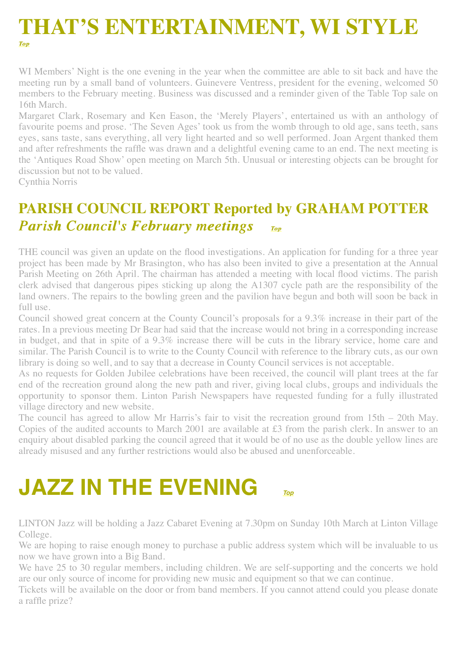# <span id="page-3-0"></span>**THAT'S ENTERTAINMENT, WI STYLE** *[Top](#page-0-1) Top*

WI Members' Night is the one evening in the year when the committee are able to sit back and have the meeting run by a small band of volunteers. Guinevere Ventress, president for the evening, welcomed 50 members to the February meeting. Business was discussed and a reminder given of the Table Top sale on 16th March.

Margaret Clark, Rosemary and Ken Eason, the 'Merely Players', entertained us with an anthology of favourite poems and prose. 'The Seven Ages' took us from the womb through to old age, sans teeth, sans eyes, sans taste, sans everything, all very light hearted and so well performed. Joan Argent thanked them and after refreshments the raffle was drawn and a delightful evening came to an end. The next meeting is the 'Antiques Road Show' open meeting on March 5th. Unusual or interesting objects can be brought for discussion but not to be valued.

Cynthia Norris

#### <span id="page-3-1"></span>**PARISH COUNCIL REPORT Reported by GRAHAM POTTER**  *Parish Council's February meetings IOP*

THE council was given an update on the flood investigations. An application for funding for a three year project has been made by Mr Brasington, who has also been invited to give a presentation at the Annual Parish Meeting on 26th April. The chairman has attended a meeting with local flood victims. The parish clerk advised that dangerous pipes sticking up along the A1307 cycle path are the responsibility of the land owners. The repairs to the bowling green and the pavilion have begun and both will soon be back in full use.

Council showed great concern at the County Council's proposals for a 9.3% increase in their part of the rates. In a previous meeting Dr Bear had said that the increase would not bring in a corresponding increase in budget, and that in spite of a 9.3% increase there will be cuts in the library service, home care and similar. The Parish Council is to write to the County Council with reference to the library cuts, as our own library is doing so well, and to say that a decrease in County Council services is not acceptable.

As no requests for Golden Jubilee celebrations have been received, the council will plant trees at the far end of the recreation ground along the new path and river, giving local clubs, groups and individuals the opportunity to sponsor them. Linton Parish Newspapers have requested funding for a fully illustrated village directory and new website.

The council has agreed to allow Mr Harris's fair to visit the recreation ground from 15th – 20th May. Copies of the audited accounts to March 2001 are available at £3 from the parish clerk. In answer to an enquiry about disabled parking the council agreed that it would be of no use as the double yellow lines are already misused and any further restrictions would also be abused and unenforceable.

## <span id="page-3-2"></span>**JAZZ IN THE EVENING** *[Top](#page-0-1)*

LINTON Jazz will be holding a Jazz Cabaret Evening at 7.30pm on Sunday 10th March at Linton Village College.

We are hoping to raise enough money to purchase a public address system which will be invaluable to us now we have grown into a Big Band.

We have 25 to 30 regular members, including children. We are self-supporting and the concerts we hold are our only source of income for providing new music and equipment so that we can continue.

Tickets will be available on the door or from band members. If you cannot attend could you please donate a raffle prize?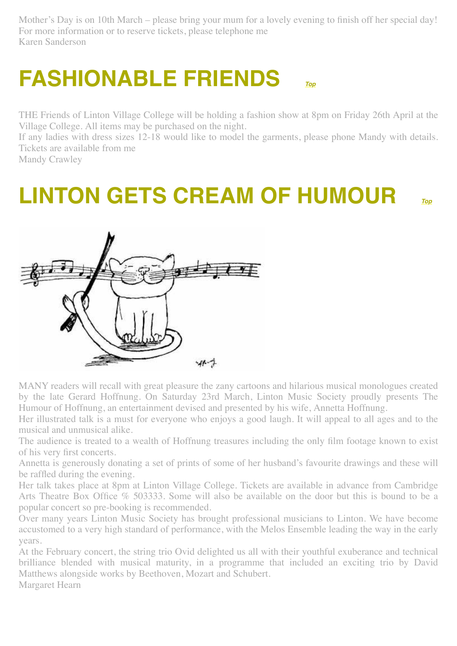Mother's Day is on 10th March – please bring your mum for a lovely evening to finish off her special day! For more information or to reserve tickets, please telephone me Karen Sanderson

### <span id="page-4-0"></span>**FASHIONABLE FRIENDS** *[Top](#page-0-1)*

THE Friends of Linton Village College will be holding a fashion show at 8pm on Friday 26th April at the Village College. All items may be purchased on the night.

If any ladies with dress sizes 12-18 would like to model the garments, please phone Mandy with details. Tickets are available from me

Mandy Crawley

### <span id="page-4-1"></span>**LINTON GETS CREAM OF HUMOUR** *[Top](#page-0-1)*



MANY readers will recall with great pleasure the zany cartoons and hilarious musical monologues created by the late Gerard Hoffnung. On Saturday 23rd March, Linton Music Society proudly presents The Humour of Hoffnung, an entertainment devised and presented by his wife, Annetta Hoffnung.

Her illustrated talk is a must for everyone who enjoys a good laugh. It will appeal to all ages and to the musical and unmusical alike.

The audience is treated to a wealth of Hoffnung treasures including the only film footage known to exist of his very first concerts.

Annetta is generously donating a set of prints of some of her husband's favourite drawings and these will be raffled during the evening.

Her talk takes place at 8pm at Linton Village College. Tickets are available in advance from Cambridge Arts Theatre Box Office % 503333. Some will also be available on the door but this is bound to be a popular concert so pre-booking is recommended.

Over many years Linton Music Society has brought professional musicians to Linton. We have become accustomed to a very high standard of performance, with the Melos Ensemble leading the way in the early years.

At the February concert, the string trio Ovid delighted us all with their youthful exuberance and technical brilliance blended with musical maturity, in a programme that included an exciting trio by David Matthews alongside works by Beethoven, Mozart and Schubert.

Margaret Hearn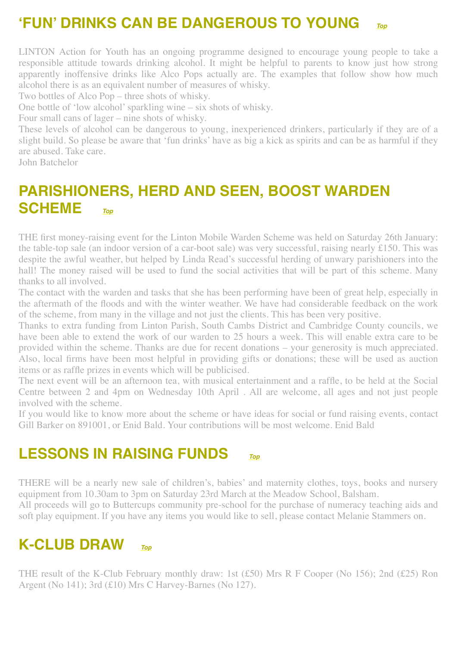#### **'FUN' DRINKS CAN BE DANGEROUS TO YOUNG** *[Top](#page-0-1)*

LINTON Action for Youth has an ongoing programme designed to encourage young people to take a responsible attitude towards drinking alcohol. It might be helpful to parents to know just how strong apparently inoffensive drinks like Alco Pops actually are. The examples that follow show how much alcohol there is as an equivalent number of measures of whisky.

Two bottles of Alco Pop – three shots of whisky.

One bottle of 'low alcohol' sparkling wine – six shots of whisky.

Four small cans of lager – nine shots of whisky.

These levels of alcohol can be dangerous to young, inexperienced drinkers, particularly if they are of a slight build. So please be aware that 'fun drinks' have as big a kick as spirits and can be as harmful if they are abused. Take care.

John Batchelor

#### <span id="page-5-0"></span>**PARISHIONERS, HERD AND SEEN, BOOST WARDEN SCHEME** *[Top](#page-0-1)*

THE first money-raising event for the Linton Mobile Warden Scheme was held on Saturday 26th January: the table-top sale (an indoor version of a car-boot sale) was very successful, raising nearly £150. This was despite the awful weather, but helped by Linda Read's successful herding of unwary parishioners into the hall! The money raised will be used to fund the social activities that will be part of this scheme. Many thanks to all involved.

The contact with the warden and tasks that she has been performing have been of great help, especially in the aftermath of the floods and with the winter weather. We have had considerable feedback on the work of the scheme, from many in the village and not just the clients. This has been very positive.

Thanks to extra funding from Linton Parish, South Cambs District and Cambridge County councils, we have been able to extend the work of our warden to 25 hours a week. This will enable extra care to be provided within the scheme. Thanks are due for recent donations – your generosity is much appreciated. Also, local firms have been most helpful in providing gifts or donations; these will be used as auction items or as raffle prizes in events which will be publicised.

The next event will be an afternoon tea, with musical entertainment and a raffle, to be held at the Social Centre between 2 and 4pm on Wednesday 10th April . All are welcome, all ages and not just people involved with the scheme.

If you would like to know more about the scheme or have ideas for social or fund raising events, contact Gill Barker on 891001, or Enid Bald. Your contributions will be most welcome. Enid Bald

#### <span id="page-5-1"></span>**LESSONS IN RAISING FUNDS** *[Top](#page-0-1)*

THERE will be a nearly new sale of children's, babies' and maternity clothes, toys, books and nursery equipment from 10.30am to 3pm on Saturday 23rd March at the Meadow School, Balsham.

All proceeds will go to Buttercups community pre-school for the purchase of numeracy teaching aids and soft play equipment. If you have any items you would like to sell, please contact Melanie Stammers on.

#### <span id="page-5-2"></span>**K-CLUB DRAW** *[Top](#page-0-1)*

THE result of the K-Club February monthly draw: 1st (£50) Mrs R F Cooper (No 156); 2nd (£25) Ron Argent (No 141); 3rd (£10) Mrs C Harvey-Barnes (No 127).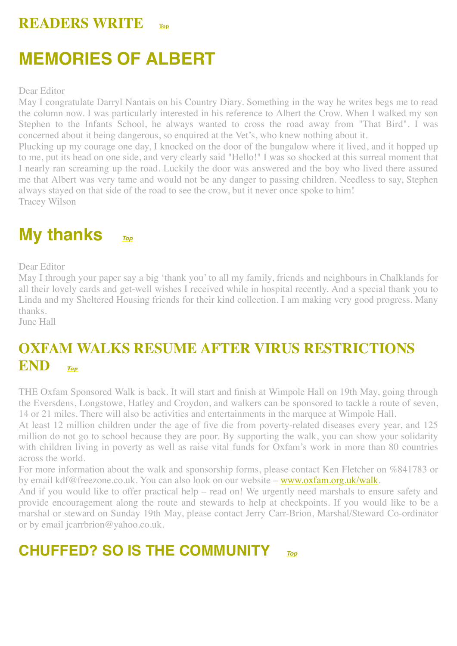#### **READERS WRITE [Top](#page-0-1)**

### <span id="page-6-2"></span>**MEMORIES OF ALBERT**

Dear Editor

May I congratulate Darryl Nantais on his Country Diary. Something in the way he writes begs me to read the column now. I was particularly interested in his reference to Albert the Crow. When I walked my son Stephen to the Infants School, he always wanted to cross the road away from "That Bird". I was concerned about it being dangerous, so enquired at the Vet's, who knew nothing about it.

Plucking up my courage one day, I knocked on the door of the bungalow where it lived, and it hopped up to me, put its head on one side, and very clearly said "Hello!" I was so shocked at this surreal moment that I nearly ran screaming up the road. Luckily the door was answered and the boy who lived there assured me that Albert was very tame and would not be any danger to passing children. Needless to say, Stephen always stayed on that side of the road to see the crow, but it never once spoke to him! Tracey Wilson

<span id="page-6-3"></span>**My thanks** *[Top](#page-0-1)*

Dear Editor

May I through your paper say a big 'thank you' to all my family, friends and neighbours in Chalklands for all their lovely cards and get-well wishes I received while in hospital recently. And a special thank you to Linda and my Sheltered Housing friends for their kind collection. I am making very good progress. Many thanks.

June Hall

#### <span id="page-6-0"></span>**OXFAM WALKS RESUME AFTER VIRUS RESTRICTIONS END** *[Top](#page-0-1) Top*

THE Oxfam Sponsored Walk is back. It will start and finish at Wimpole Hall on 19th May, going through the Eversdens, Longstowe, Hatley and Croydon, and walkers can be sponsored to tackle a route of seven, 14 or 21 miles. There will also be activities and entertainments in the marquee at Wimpole Hall.

At least 12 million children under the age of five die from poverty-related diseases every year, and 125 million do not go to school because they are poor. By supporting the walk, you can show your solidarity with children living in poverty as well as raise vital funds for Oxfam's work in more than 80 countries across the world.

For more information about the walk and sponsorship forms, please contact Ken Fletcher on %841783 or by email kdf@freezone.co.uk. You can also look on our website – [www.oxfam.org.uk/walk.](http://www.oxfam.org.uk/walk)

And if you would like to offer practical help – read on! We urgently need marshals to ensure safety and provide encouragement along the route and stewards to help at checkpoints. If you would like to be a marshal or steward on Sunday 19th May, please contact Jerry Carr-Brion, Marshal/Steward Co-ordinator or by email jcarrbrion@yahoo.co.uk.

#### <span id="page-6-1"></span>**CHUFFED? SO IS THE COMMUNITY** *[Top](#page-0-1)*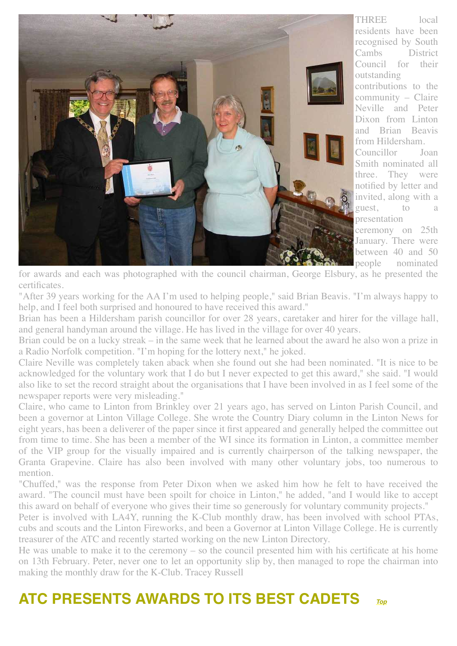

THREE local residents have been recognised by South Cambs District Council for their outstanding contributions to the community – Claire Neville and Peter Dixon from Linton and Brian Beavis from Hildersham. Councillor Joan Smith nominated all three. They were notified by letter and invited, along with a guest, to presentation ceremony on 25th

January. There were between 40 and 50 people nominated

for awards and each was photographed with the council chairman, George Elsbury, as he presented the certificates.

"After 39 years working for the AA I'm used to helping people," said Brian Beavis. "I'm always happy to help, and I feel both surprised and honoured to have received this award."

Brian has been a Hildersham parish councillor for over 28 years, caretaker and hirer for the village hall, and general handyman around the village. He has lived in the village for over 40 years.

Brian could be on a lucky streak – in the same week that he learned about the award he also won a prize in a Radio Norfolk competition. "I'm hoping for the lottery next," he joked.

Claire Neville was completely taken aback when she found out she had been nominated. "It is nice to be acknowledged for the voluntary work that I do but I never expected to get this award," she said. "I would also like to set the record straight about the organisations that I have been involved in as I feel some of the newspaper reports were very misleading."

Claire, who came to Linton from Brinkley over 21 years ago, has served on Linton Parish Council, and been a governor at Linton Village College. She wrote the Country Diary column in the Linton News for eight years, has been a deliverer of the paper since it first appeared and generally helped the committee out from time to time. She has been a member of the WI since its formation in Linton, a committee member of the VIP group for the visually impaired and is currently chairperson of the talking newspaper, the Granta Grapevine. Claire has also been involved with many other voluntary jobs, too numerous to mention.

"Chuffed," was the response from Peter Dixon when we asked him how he felt to have received the award. "The council must have been spoilt for choice in Linton," he added, "and I would like to accept this award on behalf of everyone who gives their time so generously for voluntary community projects."

Peter is involved with LA4Y, running the K-Club monthly draw, has been involved with school PTAs, cubs and scouts and the Linton Fireworks, and been a Governor at Linton Village College. He is currently treasurer of the ATC and recently started working on the new Linton Directory.

He was unable to make it to the ceremony – so the council presented him with his certificate at his home on 13th February. Peter, never one to let an opportunity slip by, then managed to rope the chairman into making the monthly draw for the K-Club. Tracey Russell

#### <span id="page-7-0"></span>**ATC PRESENTS AWARDS TO ITS BEST CADETS** *[Top](#page-0-1)*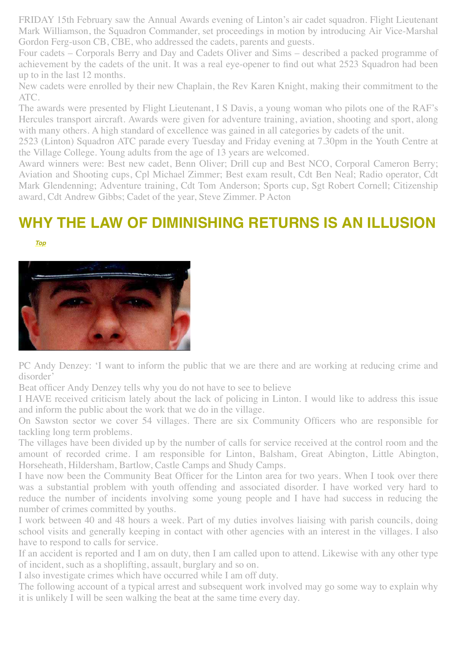FRIDAY 15th February saw the Annual Awards evening of Linton's air cadet squadron. Flight Lieutenant Mark Williamson, the Squadron Commander, set proceedings in motion by introducing Air Vice-Marshal Gordon Ferg-uson CB, CBE, who addressed the cadets, parents and guests.

Four cadets – Corporals Berry and Day and Cadets Oliver and Sims – described a packed programme of achievement by the cadets of the unit. It was a real eye-opener to find out what 2523 Squadron had been up to in the last 12 months.

New cadets were enrolled by their new Chaplain, the Rev Karen Knight, making their commitment to the ATC.

The awards were presented by Flight Lieutenant, I S Davis, a young woman who pilots one of the RAF's Hercules transport aircraft. Awards were given for adventure training, aviation, shooting and sport, along with many others. A high standard of excellence was gained in all categories by cadets of the unit.

2523 (Linton) Squadron ATC parade every Tuesday and Friday evening at 7.30pm in the Youth Centre at the Village College. Young adults from the age of 13 years are welcomed.

Award winners were: Best new cadet, Benn Oliver; Drill cup and Best NCO, Corporal Cameron Berry; Aviation and Shooting cups, Cpl Michael Zimmer; Best exam result, Cdt Ben Neal; Radio operator, Cdt Mark Glendenning; Adventure training, Cdt Tom Anderson; Sports cup, Sgt Robert Cornell; Citizenship award, Cdt Andrew Gibbs; Cadet of the year, Steve Zimmer. P Acton

#### **WHY THE LAW OF DIMINISHING RETURNS IS AN ILLUSION**

<span id="page-8-0"></span> *[Top](#page-0-1)*



PC Andy Denzey: 'I want to inform the public that we are there and are working at reducing crime and disorder'

Beat officer Andy Denzey tells why you do not have to see to believe

I HAVE received criticism lately about the lack of policing in Linton. I would like to address this issue and inform the public about the work that we do in the village.

On Sawston sector we cover 54 villages. There are six Community Officers who are responsible for tackling long term problems.

The villages have been divided up by the number of calls for service received at the control room and the amount of recorded crime. I am responsible for Linton, Balsham, Great Abington, Little Abington, Horseheath, Hildersham, Bartlow, Castle Camps and Shudy Camps.

I have now been the Community Beat Officer for the Linton area for two years. When I took over there was a substantial problem with youth offending and associated disorder. I have worked very hard to reduce the number of incidents involving some young people and I have had success in reducing the number of crimes committed by youths.

I work between 40 and 48 hours a week. Part of my duties involves liaising with parish councils, doing school visits and generally keeping in contact with other agencies with an interest in the villages. I also have to respond to calls for service.

If an accident is reported and I am on duty, then I am called upon to attend. Likewise with any other type of incident, such as a shoplifting, assault, burglary and so on.

I also investigate crimes which have occurred while I am off duty.

The following account of a typical arrest and subsequent work involved may go some way to explain why it is unlikely I will be seen walking the beat at the same time every day.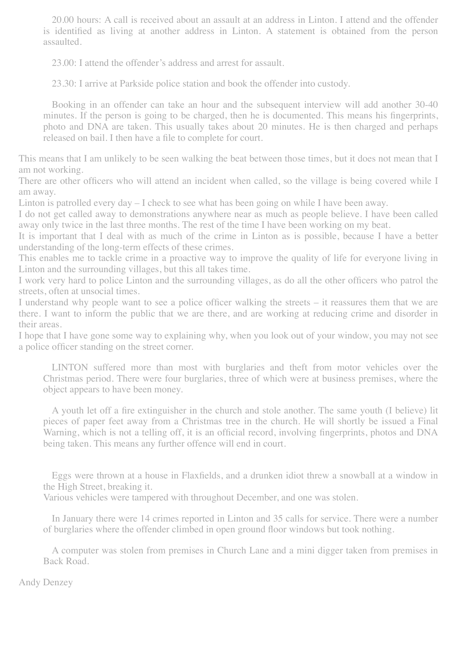20.00 hours: A call is received about an assault at an address in Linton. I attend and the offender is identified as living at another address in Linton. A statement is obtained from the person assaulted.

23.00: I attend the offender's address and arrest for assault.

23.30: I arrive at Parkside police station and book the offender into custody.

Booking in an offender can take an hour and the subsequent interview will add another 30-40 minutes. If the person is going to be charged, then he is documented. This means his fingerprints, photo and DNA are taken. This usually takes about 20 minutes. He is then charged and perhaps released on bail. I then have a file to complete for court.

This means that I am unlikely to be seen walking the beat between those times, but it does not mean that I am not working.

There are other officers who will attend an incident when called, so the village is being covered while I am away.

Linton is patrolled every day – I check to see what has been going on while I have been away.

I do not get called away to demonstrations anywhere near as much as people believe. I have been called away only twice in the last three months. The rest of the time I have been working on my beat.

It is important that I deal with as much of the crime in Linton as is possible, because I have a better understanding of the long-term effects of these crimes.

This enables me to tackle crime in a proactive way to improve the quality of life for everyone living in Linton and the surrounding villages, but this all takes time.

I work very hard to police Linton and the surrounding villages, as do all the other officers who patrol the streets, often at unsocial times.

I understand why people want to see a police officer walking the streets – it reassures them that we are there. I want to inform the public that we are there, and are working at reducing crime and disorder in their areas.

I hope that I have gone some way to explaining why, when you look out of your window, you may not see a police officer standing on the street corner.

LINTON suffered more than most with burglaries and theft from motor vehicles over the Christmas period. There were four burglaries, three of which were at business premises, where the object appears to have been money.

A youth let off a fire extinguisher in the church and stole another. The same youth (I believe) lit pieces of paper feet away from a Christmas tree in the church. He will shortly be issued a Final Warning, which is not a telling off, it is an official record, involving fingerprints, photos and DNA being taken. This means any further offence will end in court.

Eggs were thrown at a house in Flaxfields, and a drunken idiot threw a snowball at a window in the High Street, breaking it.

Various vehicles were tampered with throughout December, and one was stolen.

In January there were 14 crimes reported in Linton and 35 calls for service. There were a number of burglaries where the offender climbed in open ground floor windows but took nothing.

A computer was stolen from premises in Church Lane and a mini digger taken from premises in Back Road.

Andy Denzey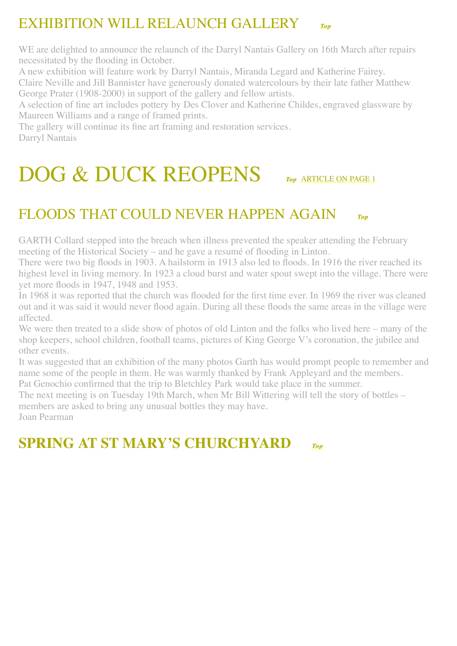#### <span id="page-10-0"></span>EXHIBITION WILL RELAUNCH GALLERY *[Top](#page-0-1) Top*

WE are delighted to announce the relaunch of the Darryl Nantais Gallery on 16th March after repairs necessitated by the flooding in October.

A new exhibition will feature work by Darryl Nantais, Miranda Legard and Katherine Fairey.

Claire Neville and Jill Bannister have generously donated watercolours by their late father Matthew George Prater (1908-2000) in support of the gallery and fellow artists.

A selection of fine art includes pottery by Des Clover and Katherine Childes, engraved glassware by Maureen Williams and a range of framed prints.

The gallery will continue its fine art framing and restoration services. Darryl Nantais

### <span id="page-10-1"></span>[DOG & DUCK REOPENS](#page-0-1) *[Top](#page-0-1) Top* [ARTICLE ON PAGE 1](#page-1-0)

#### <span id="page-10-2"></span>[FLOODS THAT COULD NEVER HAPPEN AGAIN](#page-0-1) *[Top](#page-0-1) Top*

GARTH Collard stepped into the breach when illness prevented the speaker attending the February meeting of the Historical Society – and he gave a resumé of flooding in Linton.

There were two big floods in 1903. A hailstorm in 1913 also led to floods. In 1916 the river reached its highest level in living memory. In 1923 a cloud burst and water spout swept into the village. There were yet more floods in 1947, 1948 and 1953.

In 1968 it was reported that the church was flooded for the first time ever. In 1969 the river was cleaned out and it was said it would never flood again. During all these floods the same areas in the village were affected.

We were then treated to a slide show of photos of old Linton and the folks who lived here – many of the shop keepers, school children, football teams, pictures of King George V's coronation, the jubilee and other events.

It was suggested that an exhibition of the many photos Garth has would prompt people to remember and name some of the people in them. He was warmly thanked by Frank Appleyard and the members.

Pat Genochio confirmed that the trip to Bletchley Park would take place in the summer.

The next meeting is on Tuesday 19th March, when Mr Bill Wittering will tell the story of bottles – members are asked to bring any unusual bottles they may have.

Joan Pearman

#### **SPRING AT ST MARY'S CHURCHYARD** *Top [Top](#page-0-1)*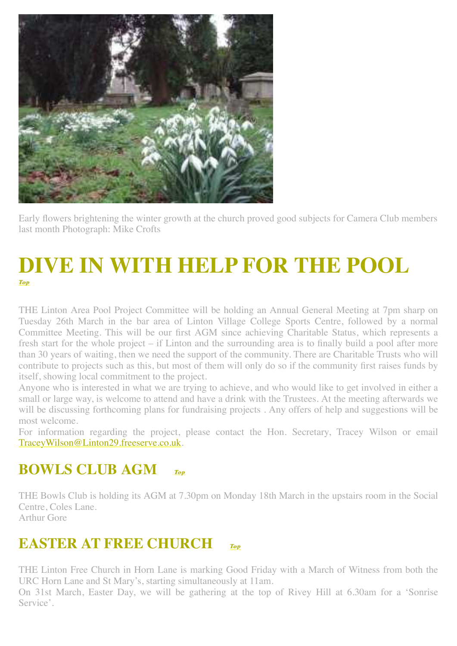

Early flowers brightening the winter growth at the church proved good subjects for Camera Club members last month Photograph: Mike Crofts

#### <span id="page-11-0"></span>**[D](#page-0-1)IVE IN WITH HELP FOR THE POOL** *Top Top*

THE Linton Area Pool Project Committee will be holding an Annual General Meeting at 7pm sharp on Tuesday 26th March in the bar area of Linton Village College Sports Centre, followed by a normal Committee Meeting. This will be our first AGM since achieving Charitable Status, which represents a fresh start for the whole project – if Linton and the surrounding area is to finally build a pool after more than 30 years of waiting, then we need the support of the community. There are Charitable Trusts who will contribute to projects such as this, but most of them will only do so if the community first raises funds by itself, showing local commitment to the project.

Anyone who is interested in what we are trying to achieve, and who would like to get involved in either a small or large way, is welcome to attend and have a drink with the Trustees. At the meeting afterwards we will be discussing forthcoming plans for fundraising projects. Any offers of help and suggestions will be most welcome.

For information regarding the project, please contact the Hon. Secretary, Tracey Wilson or email [TraceyWilson@Linton29.freeserve.co.uk](mailto:TraceyWilson@Linton29.freeserve.co.uk).

#### <span id="page-11-1"></span>**BOWLS CLUB AGM** *[Top](#page-0-1) Top*

THE Bowls Club is holding its AGM at 7.30pm on Monday 18th March in the upstairs room in the Social Centre, Coles Lane. Arthur Gore

#### **EASTER AT FREE CHURCH** *[Top](#page-0-1) Top*

THE Linton Free Church in Horn Lane is marking Good Friday with a March of Witness from both the URC Horn Lane and St Mary's, starting simultaneously at 11am.

On 31st March, Easter Day, we will be gathering at the top of Rivey Hill at 6.30am for a 'Sonrise Service'.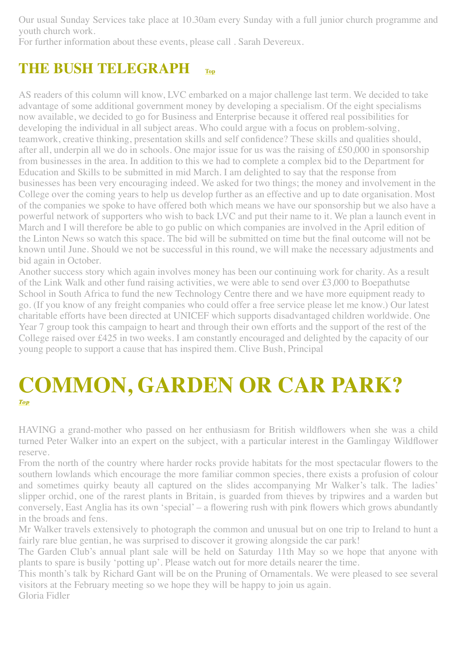Our usual Sunday Services take place at 10.30am every Sunday with a full junior church programme and youth church work.

For further information about these events, please call . Sarah Devereux.

#### <span id="page-12-0"></span>**THE BUSH TELEGRAPH [Top](#page-0-1)**

AS readers of this column will know, LVC embarked on a major challenge last term. We decided to take advantage of some additional government money by developing a specialism. Of the eight specialisms now available, we decided to go for Business and Enterprise because it offered real possibilities for developing the individual in all subject areas. Who could argue with a focus on problem-solving, teamwork, creative thinking, presentation skills and self confidence? These skills and qualities should, after all, underpin all we do in schools. One major issue for us was the raising of £50,000 in sponsorship from businesses in the area. In addition to this we had to complete a complex bid to the Department for Education and Skills to be submitted in mid March. I am delighted to say that the response from businesses has been very encouraging indeed. We asked for two things; the money and involvement in the College over the coming years to help us develop further as an effective and up to date organisation. Most of the companies we spoke to have offered both which means we have our sponsorship but we also have a powerful network of supporters who wish to back LVC and put their name to it. We plan a launch event in March and I will therefore be able to go public on which companies are involved in the April edition of the Linton News so watch this space. The bid will be submitted on time but the final outcome will not be known until June. Should we not be successful in this round, we will make the necessary adjustments and bid again in October.

Another success story which again involves money has been our continuing work for charity. As a result of the Link Walk and other fund raising activities, we were able to send over £3,000 to Boepathutse School in South Africa to fund the new Technology Centre there and we have more equipment ready to go. (If you know of any freight companies who could offer a free service please let me know.) Our latest charitable efforts have been directed at UNICEF which supports disadvantaged children worldwide. One Year 7 group took this campaign to heart and through their own efforts and the support of the rest of the College raised over £425 in two weeks. I am constantly encouraged and delighted by the capacity of our young people to support a cause that has inspired them. Clive Bush, Principal

#### <span id="page-12-1"></span>**[C](#page-0-1)OMMON, GARDEN OR CAR PARK?** *Top Top*

HAVING a grand-mother who passed on her enthusiasm for British wildflowers when she was a child turned Peter Walker into an expert on the subject, with a particular interest in the Gamlingay Wildflower reserve.

From the north of the country where harder rocks provide habitats for the most spectacular flowers to the southern lowlands which encourage the more familiar common species, there exists a profusion of colour and sometimes quirky beauty all captured on the slides accompanying Mr Walker's talk. The ladies' slipper orchid, one of the rarest plants in Britain, is guarded from thieves by tripwires and a warden but conversely, East Anglia has its own 'special' – a flowering rush with pink flowers which grows abundantly in the broads and fens.

Mr Walker travels extensively to photograph the common and unusual but on one trip to Ireland to hunt a fairly rare blue gentian, he was surprised to discover it growing alongside the car park!

The Garden Club's annual plant sale will be held on Saturday 11th May so we hope that anyone with plants to spare is busily 'potting up'. Please watch out for more details nearer the time.

This month's talk by Richard Gant will be on the Pruning of Ornamentals. We were pleased to see several visitors at the February meeting so we hope they will be happy to join us again.

Gloria Fidler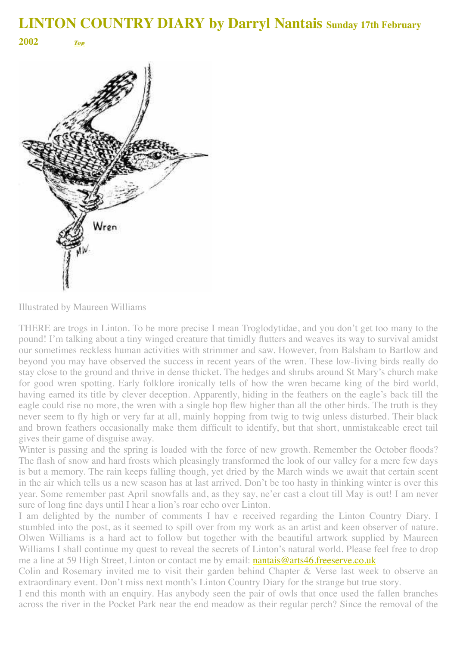<span id="page-13-0"></span>**<sup>2002</sup>***[Top](#page-0-1) Top*



Illustrated by Maureen Williams

THERE are trogs in Linton. To be more precise I mean Troglodytidae, and you don't get too many to the pound! I'm talking about a tiny winged creature that timidly flutters and weaves its way to survival amidst our sometimes reckless human activities with strimmer and saw. However, from Balsham to Bartlow and beyond you may have observed the success in recent years of the wren. These low-living birds really do stay close to the ground and thrive in dense thicket. The hedges and shrubs around St Mary's church make for good wren spotting. Early folklore ironically tells of how the wren became king of the bird world, having earned its title by clever deception. Apparently, hiding in the feathers on the eagle's back till the eagle could rise no more, the wren with a single hop flew higher than all the other birds. The truth is they never seem to fly high or very far at all, mainly hopping from twig to twig unless disturbed. Their black and brown feathers occasionally make them difficult to identify, but that short, unmistakeable erect tail gives their game of disguise away.

Winter is passing and the spring is loaded with the force of new growth. Remember the October floods? The flash of snow and hard frosts which pleasingly transformed the look of our valley for a mere few days is but a memory. The rain keeps falling though, yet dried by the March winds we await that certain scent in the air which tells us a new season has at last arrived. Don't be too hasty in thinking winter is over this year. Some remember past April snowfalls and, as they say, ne'er cast a clout till May is out! I am never sure of long fine days until I hear a lion's roar echo over Linton.

I am delighted by the number of comments I hav e received regarding the Linton Country Diary. I stumbled into the post, as it seemed to spill over from my work as an artist and keen observer of nature. Olwen Williams is a hard act to follow but together with the beautiful artwork supplied by Maureen Williams I shall continue my quest to reveal the secrets of Linton's natural world. Please feel free to drop me a line at 59 High Street, Linton or contact me by email: [nantais@arts46.freeserve.co.uk](mailto:nantais@arts46.freeserve.co.uk)

Colin and Rosemary invited me to visit their garden behind Chapter & Verse last week to observe an extraordinary event. Don't miss next month's Linton Country Diary for the strange but true story.

I end this month with an enquiry. Has anybody seen the pair of owls that once used the fallen branches across the river in the Pocket Park near the end meadow as their regular perch? Since the removal of the